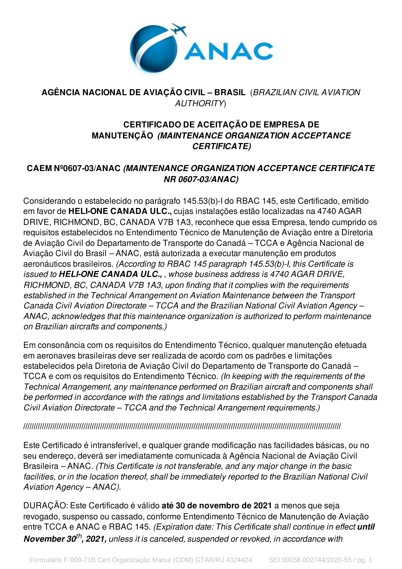

## **AGÊNCIA NACIONAL DE AVIAÇÃO CIVIL – BRASIL** (*BRAZILIAN CIVIL AVIATION AUTHORITY*)

## **CERTIFICADO DE ACEITAÇÃO DE EMPRESA DE MANUTENÇÃO** *(MAINTENANCE ORGANIZATION ACCEPTANCE CERTIFICATE)*

## **CAEM Nº0607-03/ANAC** *(MAINTENANCE ORGANIZATION ACCEPTANCE CERTIFICATE NR 0607-03/ANAC)*

Considerando o estabelecido no parágrafo 145.53(b)-I do RBAC 145, este Certificado, emitido em favor de **HELI-ONE CANADA ULC.,** cujas instalações estão localizadas na 4740 AGAR DRIVE, RICHMOND, BC, CANADA V7B 1A3, reconhece que essa Empresa, tendo cumprido os requisitos estabelecidos no Entendimento Técnico de Manutenção de Aviação entre a Diretoria de Aviação Civil do Departamento de Transporte do Canadá *–* TCCA e Agência Nacional de Aviação Civil do Brasil *–* ANAC, está autorizada a executar manutenção em produtos aeronáuticos brasileiros. *(According to RBAC 145 paragraph 145.53(b)-I, this Certificate is issued to HELI-ONE CANADA ULC., , whose business address is 4740 AGAR DRIVE, RICHMOND, BC, CANADA V7B 1A3, upon finding that it complies with the requirements established in the Technical Arrangement on Aviation Maintenance between the Transport Canada Civil Aviation Directorate – TCCA and the Brazilian National Civil Aviation Agency – ANAC, acknowledges that this maintenance organization is authorized to perform maintenance on Brazilian aircrafts and components.)*

Em consonância com os requisitos do Entendimento Técnico, qualquer manutenção efetuada em aeronaves brasileiras deve ser realizada de acordo com os padrões e limitações estabelecidos pela Diretoria de Aviação Civil do Departamento de Transporte do Canadá *–* TCCA e com os requisitos do Entendimento Técnico. *(In keeping with the requirements of the Technical Arrangement, any maintenance performed on Brazilian aircraft and components shall be performed in accordance with the ratings and limitations established by the Transport Canada Civil Aviation Directorate – TCCA and the Technical Arrangement requirements.)*

### **/////////////////////////////////////////////////////////////////////////////////////////////////////////////////////////////////////////////////////////**

Este Certificado é intransferível, e qualquer grande modificação nas facilidades básicas, ou no seu endereço, deverá ser imediatamente comunicada à Agência Nacional de Aviação Civil Brasileira *–* ANAC. *(This Certificate is not transferable, and any major change in the basic facilities, or in the location thereof, shall be immediately reported to the Brazilian National Civil Aviation Agency – ANAC).*

DURAÇÃO: Este Certificado é válido **até 30 de novembro de 2021** a menos que seja revogado, suspenso ou cassado, conforme Entendimento Técnico de Manutenção de Aviação entre TCCA e ANAC e RBAC 145. *(Expiration date: This Certificate shall continue in effect until November 30 th , 2021, unless it is canceled, suspended or revoked, in accordance with*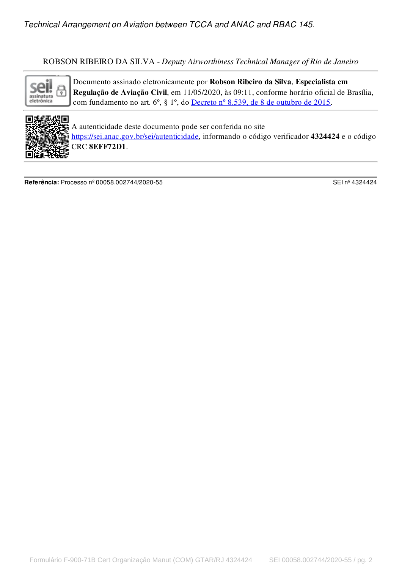### ROBSON RIBEIRO DA SILVA - *Deputy Airworthiness Technical Manager of Rio de Janeiro*



Documento assinado eletronicamente por Robson Ribeiro da Silva, Especialista em Regulação de Aviação Civil, em 11/05/2020, às 09:11, conforme horário oficial de Brasília, com fundamento no art. 6º, § 1º, do [Decreto](http://www.planalto.gov.br/ccivil_03/_Ato2015-2018/2015/Decreto/D8539.htm) nº 8.539, de 8 de outubro de 2015.



A autenticidade deste documento pode ser conferida no site [https://sei.anac.gov.br/sei/autenticidade](https://sei.anac.gov.br/sei/controlador_externo.php?acao=documento_conferir&id_orgao_acesso_externo=0), informando o código verificador 4324424 e o código CRC 8EFF72D1.

**Referência:** Processo nº 00058.002744/2020-55 SEI nº 4324424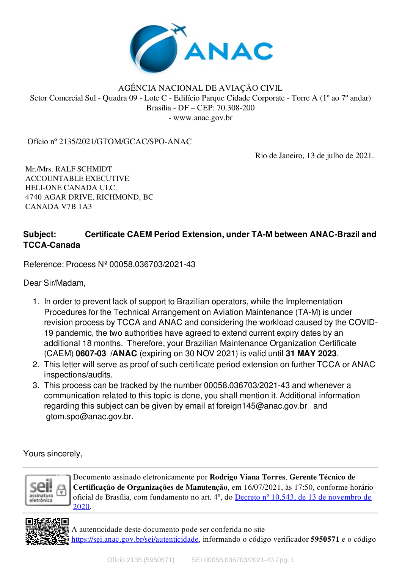

#### AGÊNCIA NACIONAL DE AVIAÇÃO CIVIL Setor Comercial Sul - Quadra 09 - Lote C - Edifício Parque Cidade Corporate - Torre A (1º ao 7º andar) Brasília - DF – CEP: 70.308-200 - www.anac.gov.br

Ofício nº 2135/2021/GTOM/GCAC/SPO-ANAC

Rio de Janeiro, 13 de julho de 2021.

Mr./Mrs. RALF SCHMIDT ACCOUNTABLE EXECUTIVE HELI-ONE CANADA ULC. 4740 AGAR DRIVE, RICHMOND, BC CANADA V7B 1A3

# **Subject: Certificate CAEM Period Extension, under TA-M between ANAC-Brazil and TCCA-Canada**

Reference: Process Nº 00058.036703/2021-43

Dear Sir/Madam,

- 1. In order to prevent lack of support to Brazilian operators, while the Implementation Procedures for the Technical Arrangement on Aviation Maintenance (TA-M) is under revision process by TCCA and ANAC and considering the workload caused by the COVID-19 pandemic, the two authorities have agreed to extend current expiry dates by an additional 18 months. Therefore, your Brazilian Maintenance Organization Certificate (CAEM) **0607-03 /ANAC** (expiring on 30 NOV 2021) is valid until **31 MAY 2023**.
- 2. This letter will serve as proof of such certificate period extension on further TCCA or ANAC inspections/audits.
- 3. This process can be tracked by the number 00058.036703/2021-43 and whenever a communication related to this topic is done, you shall mention it. Additional information regarding this subject can be given by email at foreign145@anac.gov.br and gtom.spo@anac.gov.br.

Yours sincerely,



Documento assinado eletronicamente por Rodrigo Viana Torres, Gerente Técnico de Certificação de Organizações de Manutenção, em 16/07/2021, às 17:50, conforme horário oficial de Brasília, com [fundamento](http://www.planalto.gov.br/ccivil_03/_ato2019-2022/2020/decreto/D10543.htm) no art. 4º, do Decreto nº 10.543, de 13 de novembro de 2020.

A autenticidade deste documento pode ser conferida no site [https://sei.anac.gov.br/sei/autenticidade](https://sei.anac.gov.br/sei/controlador_externo.php?acao=documento_conferir&id_orgao_acesso_externo=0), informando o código verificador 5950571 e o código